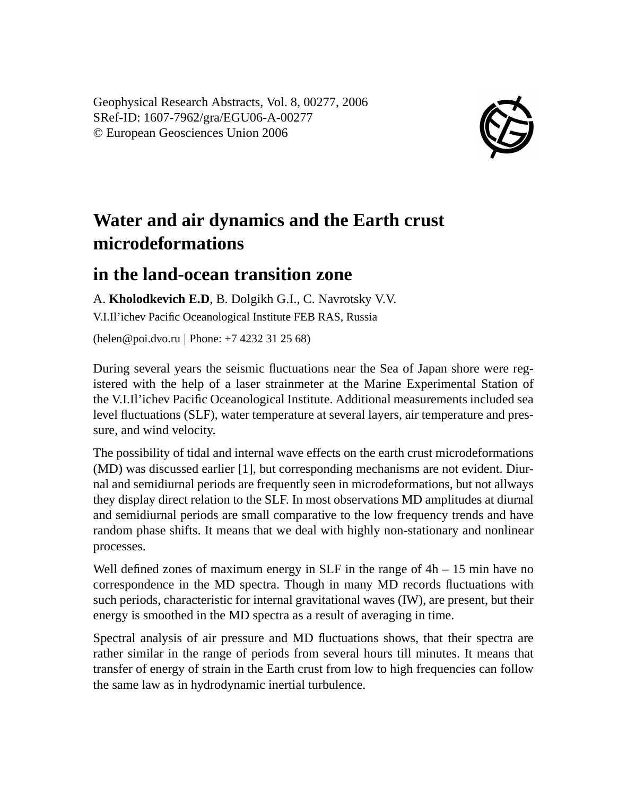Geophysical Research Abstracts, Vol. 8, 00277, 2006 SRef-ID: 1607-7962/gra/EGU06-A-00277 © European Geosciences Union 2006



## **Water and air dynamics and the Earth crust microdeformations**

## **in the land-ocean transition zone**

A. **Kholodkevich E.D**, B. Dolgikh G.I., C. Navrotsky V.V.

V.I.Il'ichev Pacific Oceanological Institute FEB RAS, Russia

(helen@poi.dvo.ru | Phone: +7 4232 31 25 68)

During several years the seismic fluctuations near the Sea of Japan shore were registered with the help of a laser strainmeter at the Marine Experimental Station of the V.I.Il'ichev Pacific Oceanological Institute. Additional measurements included sea level fluctuations (SLF), water temperature at several layers, air temperature and pressure, and wind velocity.

The possibility of tidal and internal wave effects on the earth crust microdeformations (MD) was discussed earlier [1], but corresponding mechanisms are not evident. Diurnal and semidiurnal periods are frequently seen in microdeformations, but not allways they display direct relation to the SLF. In most observations MD amplitudes at diurnal and semidiurnal periods are small comparative to the low frequency trends and have random phase shifts. It means that we deal with highly non-stationary and nonlinear processes.

Well defined zones of maximum energy in SLF in the range of  $4h - 15$  min have no correspondence in the MD spectra. Though in many MD records fluctuations with such periods, characteristic for internal gravitational waves (IW), are present, but their energy is smoothed in the MD spectra as a result of averaging in time.

Spectral analysis of air pressure and MD fluctuations shows, that their spectra are rather similar in the range of periods from several hours till minutes. It means that transfer of energy of strain in the Earth crust from low to high frequencies can follow the same law as in hydrodynamic inertial turbulence.